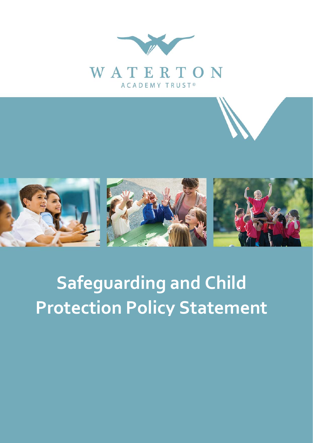



## **Safeguarding and Child Protection Policy Statement**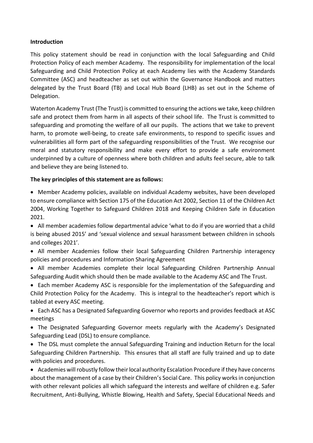## **Introduction**

This policy statement should be read in conjunction with the local Safeguarding and Child Protection Policy of each member Academy. The responsibility for implementation of the local Safeguarding and Child Protection Policy at each Academy lies with the Academy Standards Committee (ASC) and headteacher as set out within the Governance Handbook and matters delegated by the Trust Board (TB) and Local Hub Board (LHB) as set out in the Scheme of Delegation.

Waterton Academy Trust (The Trust) is committed to ensuring the actions we take, keep children safe and protect them from harm in all aspects of their school life. The Trust is committed to safeguarding and promoting the welfare of all our pupils. The actions that we take to prevent harm, to promote well-being, to create safe environments, to respond to specific issues and vulnerabilities all form part of the safeguarding responsibilities of the Trust. We recognise our moral and statutory responsibility and make every effort to provide a safe environment underpinned by a culture of openness where both children and adults feel secure, able to talk and believe they are being listened to.

## **The key principles of this statement are as follows:**

 Member Academy policies, available on individual Academy websites, have been developed to ensure compliance with Section 175 of the Education Act 2002, Section 11 of the Children Act 2004, Working Together to Safeguard Children 2018 and Keeping Children Safe in Education 2021.

 All member academies follow departmental advice 'what to do if you are worried that a child is being abused 2015' and 'sexual violence and sexual harassment between children in schools and colleges 2021'.

- All member Academies follow their local Safeguarding Children Partnership interagency policies and procedures and Information Sharing Agreement
- All member Academies complete their local Safeguarding Children Partnership Annual Safeguarding Audit which should then be made available to the Academy ASC and The Trust.
- Each member Academy ASC is responsible for the implementation of the Safeguarding and Child Protection Policy for the Academy. This is integral to the headteacher's report which is tabled at every ASC meeting.
- Each ASC has a Designated Safeguarding Governor who reports and provides feedback at ASC meetings
- The Designated Safeguarding Governor meets regularly with the Academy's Designated Safeguarding Lead (DSL) to ensure compliance.
- The DSL must complete the annual Safeguarding Training and induction Return for the local Safeguarding Children Partnership. This ensures that all staff are fully trained and up to date with policies and procedures.

 Academies will robustly follow their local authority Escalation Procedure if they have concerns about the management of a case by their Children's Social Care. This policy works in conjunction with other relevant policies all which safeguard the interests and welfare of children e.g. Safer Recruitment, Anti-Bullying, Whistle Blowing, Health and Safety, Special Educational Needs and